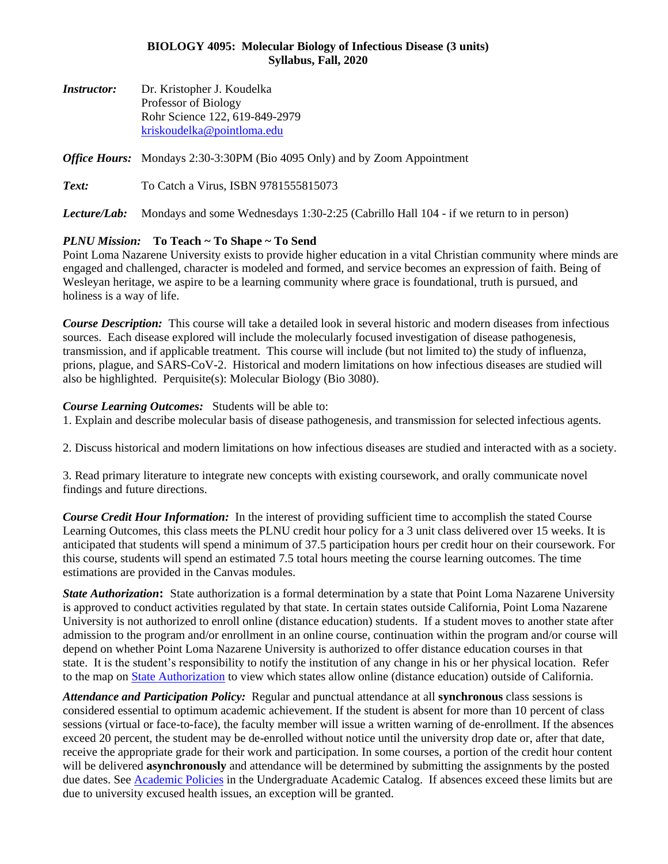## **BIOLOGY 4095: Molecular Biology of Infectious Disease (3 units) Syllabus, Fall, 2020**

*Instructor:* Dr. Kristopher J. Koudelka Professor of Biology Rohr Science 122, 619-849-2979 [kriskoudelka@pointloma.edu](mailto:kriskoudelka@pointloma.edu)

#### *Office Hours:* Mondays 2:30-3:30PM (Bio 4095 Only) and by Zoom Appointment

**Text:** To Catch a Virus, ISBN 9781555815073

*Lecture/Lab:* Mondays and some Wednesdays 1:30-2:25 (Cabrillo Hall 104 - if we return to in person)

## *PLNU Mission:* **To Teach ~ To Shape ~ To Send**

Point Loma Nazarene University exists to provide higher education in a vital Christian community where minds are engaged and challenged, character is modeled and formed, and service becomes an expression of faith. Being of Wesleyan heritage, we aspire to be a learning community where grace is foundational, truth is pursued, and holiness is a way of life.

*Course Description:* This course will take a detailed look in several historic and modern diseases from infectious sources. Each disease explored will include the molecularly focused investigation of disease pathogenesis, transmission, and if applicable treatment. This course will include (but not limited to) the study of influenza, prions, plague, and SARS-CoV-2. Historical and modern limitations on how infectious diseases are studied will also be highlighted. Perquisite(s): Molecular Biology (Bio 3080).

#### *Course Learning Outcomes:* Students will be able to:

1. Explain and describe molecular basis of disease pathogenesis, and transmission for selected infectious agents.

2. Discuss historical and modern limitations on how infectious diseases are studied and interacted with as a society.

3. Read primary literature to integrate new concepts with existing coursework, and orally communicate novel findings and future directions.

*Course Credit Hour Information:* In the interest of providing sufficient time to accomplish the stated Course Learning Outcomes, this class meets the PLNU credit hour policy for a 3 unit class delivered over 15 weeks. It is anticipated that students will spend a minimum of 37.5 participation hours per credit hour on their coursework. For this course, students will spend an estimated 7.5 total hours meeting the course learning outcomes. The time estimations are provided in the Canvas modules.

*State Authorization***:** State authorization is a formal determination by a state that Point Loma Nazarene University is approved to conduct activities regulated by that state. In certain states outside California, Point Loma Nazarene University is not authorized to enroll online (distance education) students. If a student moves to another state after admission to the program and/or enrollment in an online course, continuation within the program and/or course will depend on whether Point Loma Nazarene University is authorized to offer distance education courses in that state. It is the student's responsibility to notify the institution of any change in his or her physical location. Refer to the map on [State Authorization](https://www.pointloma.edu/offices/office-institutional-effectiveness-research/disclosures) to view which states allow online (distance education) outside of California.

*Attendance and Participation Policy:* Regular and punctual attendance at all **synchronous** class sessions is considered essential to optimum academic achievement. If the student is absent for more than 10 percent of class sessions (virtual or face-to-face), the faculty member will issue a written warning of de-enrollment. If the absences exceed 20 percent, the student may be de-enrolled without notice until the university drop date or, after that date, receive the appropriate grade for their work and participation. In some courses, a portion of the credit hour content will be delivered **asynchronously** and attendance will be determined by submitting the assignments by the posted due dates. See [Academic Policies](https://catalog.pointloma.edu/content.php?catoid=46&navoid=2650#Class_Attendance) in the Undergraduate Academic Catalog. If absences exceed these limits but are due to university excused health issues, an exception will be granted.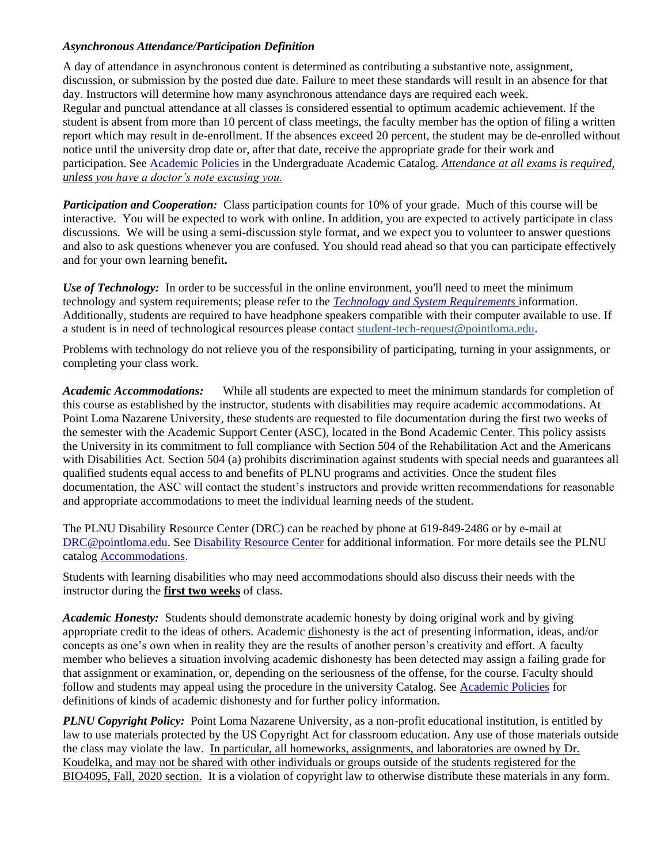## *Asynchronous Attendance/Participation Definition*

A day of attendance in asynchronous content is determined as contributing a substantive note, assignment, discussion, or submission by the posted due date. Failure to meet these standards will result in an absence for that day. Instructors will determine how many asynchronous attendance days are required each week. Regular and punctual attendance at all classes is considered essential to optimum academic achievement. If the student is absent from more than 10 percent of class meetings, the faculty member has the option of filing a written report which may result in de-enrollment. If the absences exceed 20 percent, the student may be de-enrolled without notice until the university drop date or, after that date, receive the appropriate grade for their work and participation. See [Academic Policies](http://catalog.pointloma.edu/content.php?catoid=18&navoid=1278) in the Undergraduate Academic Catalog. *Attendance at all exams is required, unless you have a doctor's note excusing you.*

*Participation and Cooperation:* Class participation counts for 10% of your grade. Much of this course will be interactive. You will be expected to work with online. In addition, you are expected to actively participate in class discussions. We will be using a semi-discussion style format, and we expect you to volunteer to answer questions and also to ask questions whenever you are confused. You should read ahead so that you can participate effectively and for your own learning benefit**.**

*Use of Technology:* In order to be successful in the online environment, you'll need to meet the minimum technology and system requirements; please refer to the *[Technology and System Requirements](https://help.pointloma.edu/TDClient/1808/Portal/KB/ArticleDet?ID=108349)* information. Additionally, students are required to have headphone speakers compatible with their computer available to use. If a student is in need of technological resources please contact [student-tech-request@pointloma.edu.](mailto:student-tech-request@pointloma.edu)

Problems with technology do not relieve you of the responsibility of participating, turning in your assignments, or completing your class work.

*Academic Accommodations:* While all students are expected to meet the minimum standards for completion of this course as established by the instructor, students with disabilities may require academic accommodations. At Point Loma Nazarene University, these students are requested to file documentation during the first two weeks of the semester with the Academic Support Center (ASC), located in the Bond Academic Center. This policy assists the University in its commitment to full compliance with Section 504 of the Rehabilitation Act and the Americans with Disabilities Act. Section 504 (a) prohibits discrimination against students with special needs and guarantees all qualified students equal access to and benefits of PLNU programs and activities. Once the student files documentation, the ASC will contact the student's instructors and provide written recommendations for reasonable and appropriate accommodations to meet the individual learning needs of the student.

The PLNU Disability Resource Center (DRC) can be reached by phone at 619-849-2486 or by e-mail at [DRC@pointloma.edu.](mailto:DRC@pointloma.edu) See [Disability Resource Center](https://www.pointloma.edu/offices/disability-resource-center) for additional information. For more details see the PLNU catalog [Accommodations.](https://catalog.pointloma.edu/content.php?catoid=35&navoid=2136#Academic_Accommodations)

Students with learning disabilities who may need accommodations should also discuss their needs with the instructor during the **first two weeks** of class.

*Academic Honesty:* Students should demonstrate academic honesty by doing original work and by giving appropriate credit to the ideas of others. Academic dishonesty is the act of presenting information, ideas, and/or concepts as one's own when in reality they are the results of another person's creativity and effort. A faculty member who believes a situation involving academic dishonesty has been detected may assign a failing grade for that assignment or examination, or, depending on the seriousness of the offense, for the course. Faculty should follow and students may appeal using the procedure in the university Catalog. See [Academic Policies](http://catalog.pointloma.edu/content.php?catoid=18&navoid=1278) for definitions of kinds of academic dishonesty and for further policy information.

*PLNU Copyright Policy:* Point Loma Nazarene University, as a non-profit educational institution, is entitled by law to use materials protected by the US Copyright Act for classroom education. Any use of those materials outside the class may violate the law.In particular, all homeworks, assignments, and laboratories are owned by Dr. Koudelka, and may not be shared with other individuals or groups outside of the students registered for the BIO4095, Fall, 2020 section. It is a violation of copyright law to otherwise distribute these materials in any form.